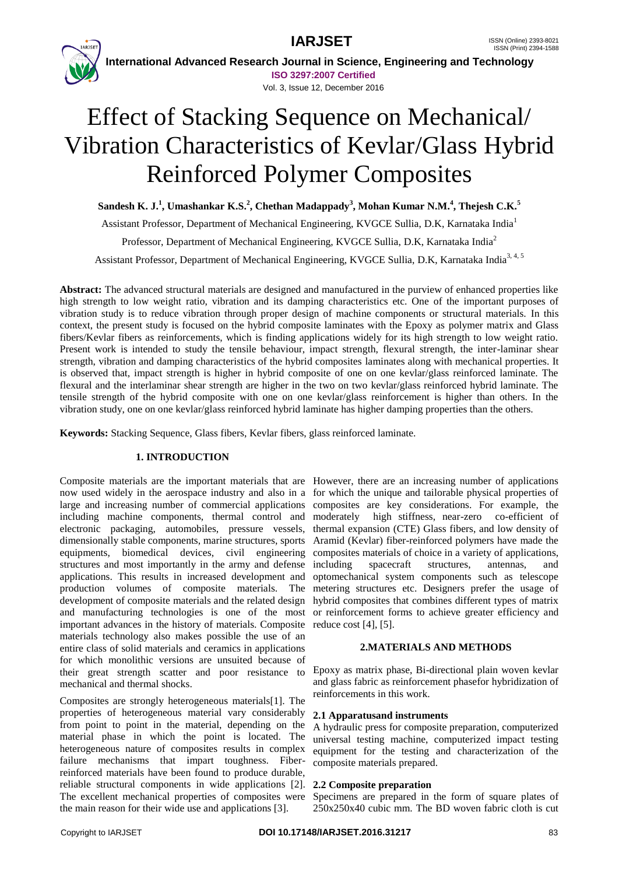



 **International Advanced Research Journal in Science, Engineering and Technology ISO 3297:2007 Certified**

#### Vol. 3, Issue 12, December 2016

# Effect of Stacking Sequence on Mechanical/ Vibration Characteristics of Kevlar/Glass Hybrid Reinforced Polymer Composites

**Sandesh K. J. 1 , Umashankar K.S. 2 , Chethan Madappady<sup>3</sup> , Mohan Kumar N.M.<sup>4</sup> , Thejesh C.K.<sup>5</sup>**

Assistant Professor, Department of Mechanical Engineering, KVGCE Sullia, D.K, Karnataka India<sup>1</sup> Professor, Department of Mechanical Engineering, KVGCE Sullia, D.K, Karnataka India<sup>2</sup>

Assistant Professor, Department of Mechanical Engineering, KVGCE Sullia, D.K, Karnataka India<sup>3, 4, 5</sup>

**Abstract:** The advanced structural materials are designed and manufactured in the purview of enhanced properties like high strength to low weight ratio, vibration and its damping characteristics etc. One of the important purposes of vibration study is to reduce vibration through proper design of machine components or structural materials. In this context, the present study is focused on the hybrid composite laminates with the Epoxy as polymer matrix and Glass fibers/Kevlar fibers as reinforcements, which is finding applications widely for its high strength to low weight ratio. Present work is intended to study the tensile behaviour, impact strength, flexural strength, the inter-laminar shear strength, vibration and damping characteristics of the hybrid composites laminates along with mechanical properties. It is observed that, impact strength is higher in hybrid composite of one on one kevlar/glass reinforced laminate. The flexural and the interlaminar shear strength are higher in the two on two kevlar/glass reinforced hybrid laminate. The tensile strength of the hybrid composite with one on one kevlar/glass reinforcement is higher than others. In the vibration study, one on one kevlar/glass reinforced hybrid laminate has higher damping properties than the others.

**Keywords:** Stacking Sequence, Glass fibers, Kevlar fibers, glass reinforced laminate.

### **1. INTRODUCTION**

Composite materials are the important materials that are However, there are an increasing number of applications now used widely in the aerospace industry and also in a for which the unique and tailorable physical properties of large and increasing number of commercial applications composites are key considerations. For example, the including machine components, thermal control and moderately high stiffness, near-zero co-efficient of electronic packaging, automobiles, pressure vessels, thermal expansion (CTE) Glass fibers, and low density of dimensionally stable components, marine structures, sports Aramid (Kevlar) fiber-reinforced polymers have made the equipments, biomedical devices, civil engineering composites materials of choice in a variety of applications, structures and most importantly in the army and defense applications. This results in increased development and production volumes of composite materials. The development of composite materials and the related design and manufacturing technologies is one of the most important advances in the history of materials. Composite materials technology also makes possible the use of an entire class of solid materials and ceramics in applications for which monolithic versions are unsuited because of their great strength scatter and poor resistance to mechanical and thermal shocks.

Composites are strongly heterogeneous materials[1]. The properties of heterogeneous material vary considerably from point to point in the material, depending on the material phase in which the point is located. The heterogeneous nature of composites results in complex failure mechanisms that impart toughness. Fiberreinforced materials have been found to produce durable, reliable structural components in wide applications [2]. The excellent mechanical properties of composites were Specimens are prepared in the form of square plates of the main reason for their wide use and applications [3].

including spacecraft structures, antennas, and optomechanical system components such as telescope metering structures etc. Designers prefer the usage of hybrid composites that combines different types of matrix or reinforcement forms to achieve greater efficiency and reduce cost [4], [5].

#### **2.MATERIALS AND METHODS**

Epoxy as matrix phase, Bi-directional plain woven kevlar and glass fabric as reinforcement phasefor hybridization of reinforcements in this work.

#### **2.1 Apparatusand instruments**

A hydraulic press for composite preparation, computerized universal testing machine, computerized impact testing equipment for the testing and characterization of the composite materials prepared.

#### **2.2 Composite preparation**

250x250x40 cubic mm. The BD woven fabric cloth is cut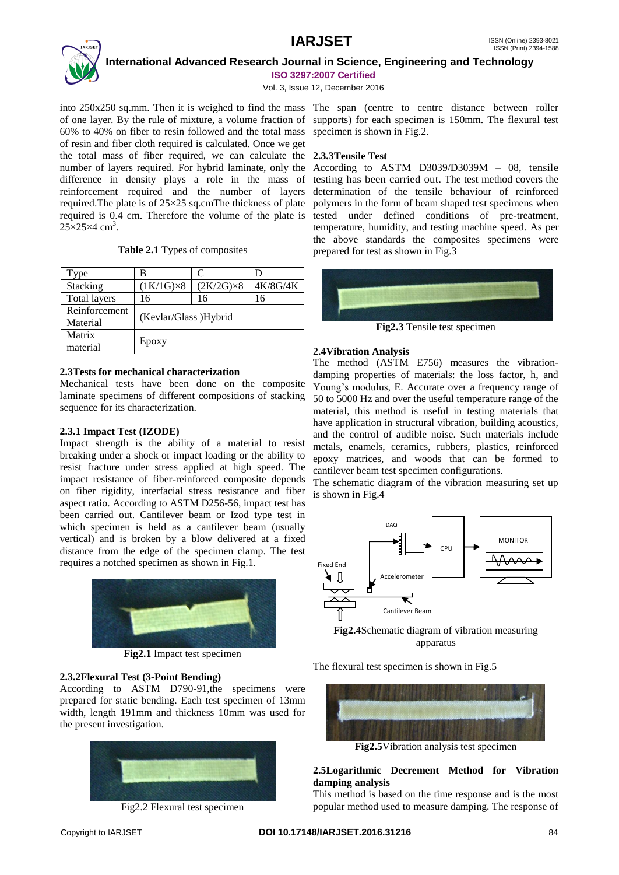

 **International Advanced Research Journal in Science, Engineering and Technology**

**ISO 3297:2007 Certified**

Vol. 3, Issue 12, December 2016

into 250x250 sq.mm. Then it is weighed to find the mass The span (centre to centre distance between roller of one layer. By the rule of mixture, a volume fraction of supports) for each specimen is 150mm. The flexural test 60% to 40% on fiber to resin followed and the total mass specimen is shown in Fig.2. of resin and fiber cloth required is calculated. Once we get the total mass of fiber required, we can calculate the **2.3.3Tensile Test** number of layers required. For hybrid laminate, only the difference in density plays a role in the mass of reinforcement required and the number of layers required.The plate is of 25×25 sq.cmThe thickness of plate required is 0.4 cm. Therefore the volume of the plate is  $25\times25\times4$  cm<sup>3</sup>.

|  |  | Table 2.1 Types of composites |
|--|--|-------------------------------|
|--|--|-------------------------------|

| Type                | в                     | C                 | D        |  |
|---------------------|-----------------------|-------------------|----------|--|
| Stacking            | $(1K/1G)\times 8$     | $(2K/2G)\times 8$ | 4K/8G/4K |  |
| <b>Total layers</b> | 16                    | 16                | 16       |  |
| Reinforcement       |                       |                   |          |  |
| Material            | (Kevlar/Glass) Hybrid |                   |          |  |
| Matrix              |                       |                   |          |  |
| material            | Epoxy                 |                   |          |  |

### **2.3Tests for mechanical characterization**

Mechanical tests have been done on the composite laminate specimens of different compositions of stacking sequence for its characterization.

### **2.3.1 Impact Test (IZODE)**

Impact strength is the ability of a material to resist breaking under a shock or impact loading or the ability to resist fracture under stress applied at high speed. The impact resistance of fiber-reinforced composite depends on fiber rigidity, interfacial stress resistance and fiber aspect ratio. According to ASTM D256-56, impact test has been carried out. Cantilever beam or Izod type test in which specimen is held as a cantilever beam (usually vertical) and is broken by a blow delivered at a fixed distance from the edge of the specimen clamp. The test requires a notched specimen as shown in Fig.1.



**Fig2.1** Impact test specimen

### **2.3.2Flexural Test (3-Point Bending)**

According to ASTM D790-91,the specimens were prepared for static bending. Each test specimen of 13mm width, length 191mm and thickness 10mm was used for the present investigation.



Fig2.2 Flexural test specimen

According to ASTM D3039/D3039M – 08, tensile testing has been carried out. The test method covers the determination of the tensile behaviour of reinforced polymers in the form of beam shaped test specimens when tested under defined conditions of pre-treatment, temperature, humidity, and testing machine speed. As per the above standards the composites specimens were prepared for test as shown in Fig.3



**Fig2.3** Tensile test specimen

#### **2.4Vibration Analysis**

The method (ASTM E756) measures the vibrationdamping properties of materials: the loss factor, h, and Young's modulus, E. Accurate over a frequency range of 50 to 5000 Hz and over the useful temperature range of the material, this method is useful in testing materials that have application in structural vibration, building acoustics, and the control of audible noise. Such materials include metals, enamels, ceramics, rubbers, plastics, reinforced epoxy matrices, and woods that can be formed to cantilever beam test specimen configurations.

The schematic diagram of the vibration measuring set up is shown in Fig.4



**Fig2.4**Schematic diagram of vibration measuring apparatus

The flexural test specimen is shown in Fig.5



**Fig2.5**Vibration analysis test specimen

### **2.5Logarithmic Decrement Method for Vibration damping analysis**

This method is based on the time response and is the most popular method used to measure damping. The response of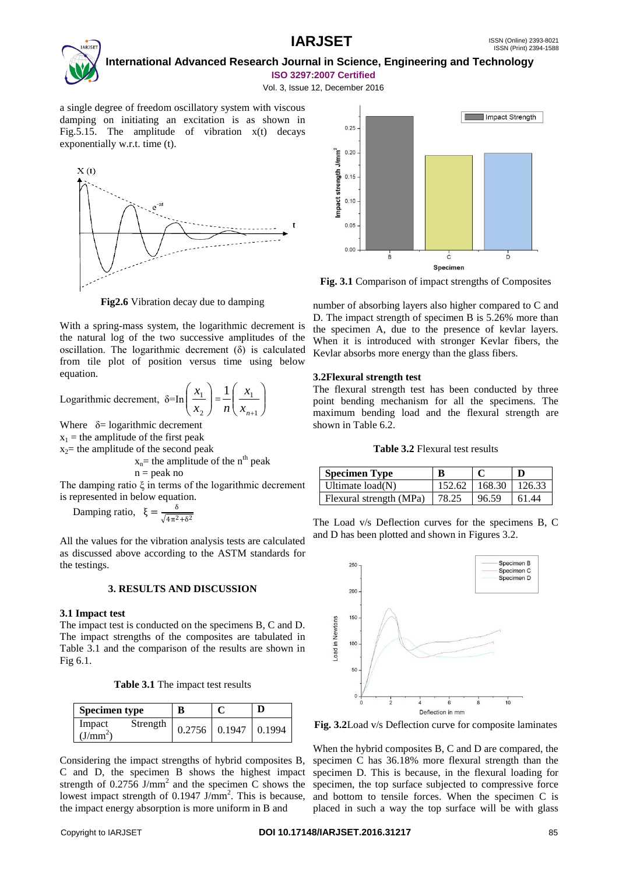

a single degree of freedom oscillatory system with viscous damping on initiating an excitation is as shown in Fig. 5.15. The amplitude of vibration  $x(t)$  decays exponentially w.r.t. time (t).



**Fig2.6** Vibration decay due to damping

With a spring-mass system, the logarithmic decrement is the natural log of the two successive amplitudes of the oscillation. The logarithmic decrement (δ) is calculated from tile plot of position versus time using below equation.

Logarithmic decrement, 
$$
\delta = \ln\left(\frac{x_1}{x_2}\right) = \frac{1}{n}\left(\frac{x_1}{x_{n+1}}\right)
$$

Where  $\delta$ = logarithmic decrement

 $x_1$  = the amplitude of the first peak

 $x_2$ = the amplitude of the second peak

$$
x_n
$$
= the amplitude of the n<sup>th</sup> peak  
n = peak no

The damping ratio ξ in terms of the logarithmic decrement is represented in below equation.

Damping ratio,  $ξ = \frac{δ}{\sqrt{12}}$  $\sqrt{4\pi^2+6^2}$ 

All the values for the vibration analysis tests are calculated as discussed above according to the ASTM standards for the testings.

#### **3. RESULTS AND DISCUSSION**

#### **3.1 Impact test**

The impact test is conducted on the specimens B, C and D. The impact strengths of the composites are tabulated in Table 3.1 and the comparison of the results are shown in Fig 6.1.

**Table 3.1** The impact test results

| <b>Specimen type</b>                       | B |                          | D |
|--------------------------------------------|---|--------------------------|---|
| Strength<br>Impact<br>(J/mm <sup>2</sup> ) |   | $0.2756$ 0.1947   0.1994 |   |

Considering the impact strengths of hybrid composites B, C and D, the specimen B shows the highest impact strength of  $0.2756$  J/mm<sup>2</sup> and the specimen C shows the lowest impact strength of  $0.1947 \text{ J/mm}^2$ . This is because, the impact energy absorption is more uniform in B and

**Fig. 3.1** Comparison of impact strengths of Composites

number of absorbing layers also higher compared to C and D. The impact strength of specimen B is 5.26% more than the specimen A, due to the presence of kevlar layers. When it is introduced with stronger Kevlar fibers, the Kevlar absorbs more energy than the glass fibers.

#### **3.2Flexural strength test**

The flexural strength test has been conducted by three point bending mechanism for all the specimens. The maximum bending load and the flexural strength are shown in Table 6.2.

#### **Table 3.2** Flexural test results

| Specimen Type           |       |                          |       |
|-------------------------|-------|--------------------------|-------|
| $\mid$ Ultimate load(N) |       | 152.62   168.30   126.33 |       |
| Flexural strength (MPa) | 78.25 | 96.59                    | 61.44 |

The Load v/s Deflection curves for the specimens B, C and D has been plotted and shown in Figures 3.2.



**Fig. 3.2**Load v/s Deflection curve for composite laminates

When the hybrid composites B, C and D are compared, the specimen C has 36.18% more flexural strength than the specimen D. This is because, in the flexural loading for specimen, the top surface subjected to compressive force and bottom to tensile forces. When the specimen C is placed in such a way the top surface will be with glass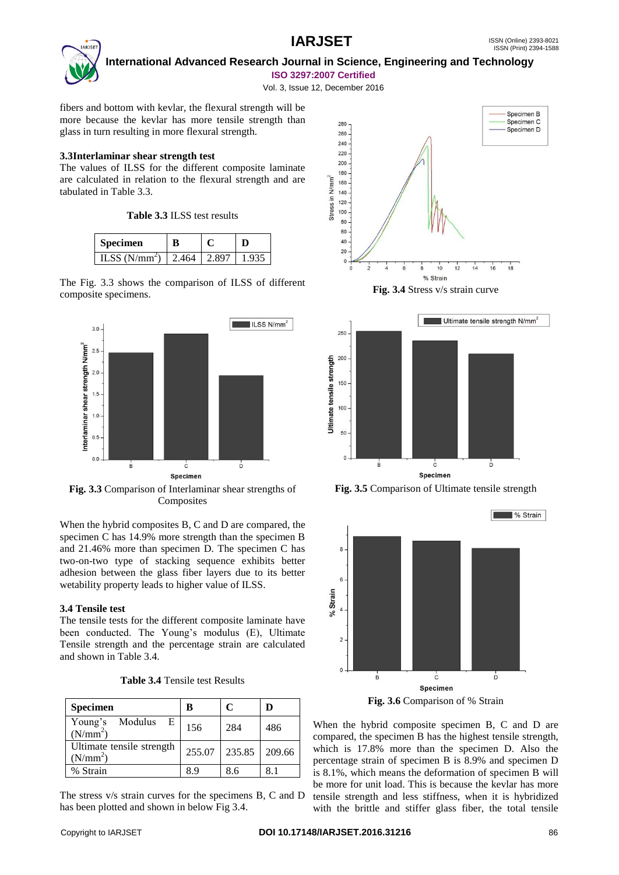

 **International Advanced Research Journal in Science, Engineering and Technology ISO 3297:2007 Certified**

Vol. 3, Issue 12, December 2016

fibers and bottom with kevlar, the flexural strength will be more because the kevlar has more tensile strength than glass in turn resulting in more flexural strength.

#### **3.3Interlaminar shear strength test**

The values of ILSS for the different composite laminate are calculated in relation to the flexural strength and are tabulated in Table 3.3.

**Table 3.3** ILSS test results

| Specimen        |       |       |  |  |
|-----------------|-------|-------|--|--|
| ILSS $(N/mm^2)$ | 2.464 | 2.897 |  |  |

The Fig. 3.3 shows the comparison of ILSS of different composite specimens.



**Fig. 3.3** Comparison of Interlaminar shear strengths of **Composites** 

When the hybrid composites B, C and D are compared, the specimen C has 14.9% more strength than the specimen B and 21.46% more than specimen D. The specimen C has two-on-two type of stacking sequence exhibits better adhesion between the glass fiber layers due to its better wetability property leads to higher value of ILSS.

### **3.4 Tensile test**

The tensile tests for the different composite laminate have been conducted. The Young's modulus (E), Ultimate Tensile strength and the percentage strain are calculated and shown in Table 3.4.

| <b>Table 3.4 Tensile test Results</b> |  |
|---------------------------------------|--|
|---------------------------------------|--|

| <b>Specimen</b>                                   | B      | C      | D      |
|---------------------------------------------------|--------|--------|--------|
| Young's Modulus<br>E<br>(N/mm <sup>2</sup> )      | 156    | 284    | 486    |
| Ultimate tensile strength<br>(N/mm <sup>2</sup> ) | 255.07 | 235.85 | 209.66 |
| % Strain                                          | 8.9    | 8.6    |        |

The stress v/s strain curves for the specimens B, C and D has been plotted and shown in below Fig 3.4.









**Fig. 3.6** Comparison of % Strain

When the hybrid composite specimen B, C and D are compared, the specimen B has the highest tensile strength, which is 17.8% more than the specimen D. Also the percentage strain of specimen B is 8.9% and specimen D is 8.1%, which means the deformation of specimen B will be more for unit load. This is because the kevlar has more tensile strength and less stiffness, when it is hybridized with the brittle and stiffer glass fiber, the total tensile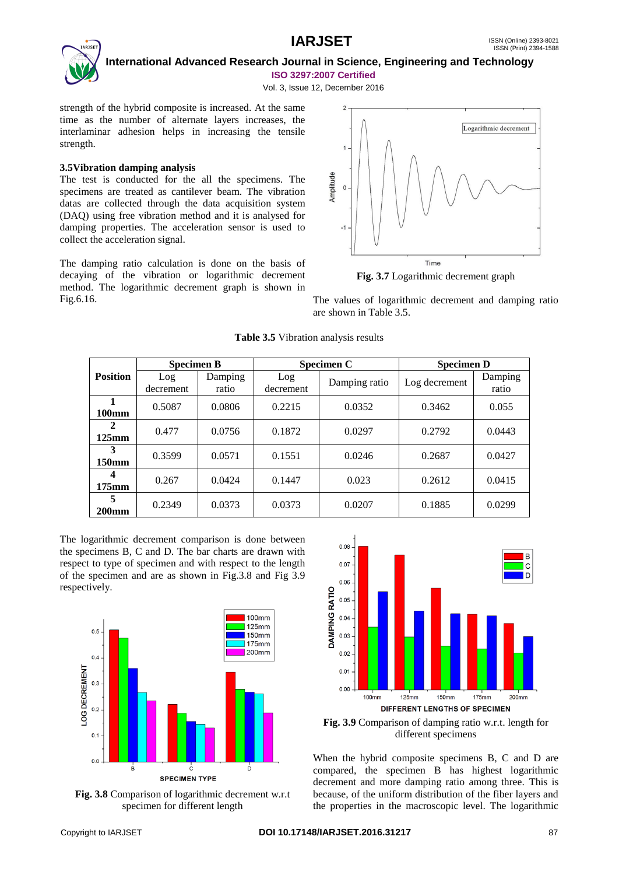

 **International Advanced Research Journal in Science, Engineering and Technology ISO 3297:2007 Certified**

Vol. 3, Issue 12, December 2016

strength of the hybrid composite is increased. At the same time as the number of alternate layers increases, the interlaminar adhesion helps in increasing the tensile strength.

### **3.5Vibration damping analysis**

The test is conducted for the all the specimens. The specimens are treated as cantilever beam. The vibration datas are collected through the data acquisition system (DAQ) using free vibration method and it is analysed for damping properties. The acceleration sensor is used to collect the acceleration signal.

The damping ratio calculation is done on the basis of decaying of the vibration or logarithmic decrement method. The logarithmic decrement graph is shown in Fig.6.16.



**Fig. 3.7** Logarithmic decrement graph

The values of logarithmic decrement and damping ratio are shown in Table 3.5.

|                 | <b>Specimen B</b> |                  | Specimen C       |               | <b>Specimen D</b> |                  |
|-----------------|-------------------|------------------|------------------|---------------|-------------------|------------------|
| <b>Position</b> | Log<br>decrement  | Damping<br>ratio | Log<br>decrement | Damping ratio | Log decrement     | Damping<br>ratio |
| 100mm           | 0.5087            | 0.0806           | 0.2215           | 0.0352        | 0.3462            | 0.055            |
| 2<br>$125$ mm   | 0.477             | 0.0756           | 0.1872           | 0.0297        | 0.2792            | 0.0443           |
| 3<br>150mm      | 0.3599            | 0.0571           | 0.1551           | 0.0246        | 0.2687            | 0.0427           |
| 4<br>$175$ mm   | 0.267             | 0.0424           | 0.1447           | 0.023         | 0.2612            | 0.0415           |
| 5<br>$200$ mm   | 0.2349            | 0.0373           | 0.0373           | 0.0207        | 0.1885            | 0.0299           |

### **Table 3.5** Vibration analysis results

The logarithmic decrement comparison is done between the specimens B, C and D. The bar charts are drawn with respect to type of specimen and with respect to the length of the specimen and are as shown in Fig.3.8 and Fig 3.9 respectively.



**Fig. 3.8** Comparison of logarithmic decrement w.r.t specimen for different length



**Fig. 3.9** Comparison of damping ratio w.r.t. length for different specimens

When the hybrid composite specimens B, C and D are compared, the specimen B has highest logarithmic decrement and more damping ratio among three. This is because, of the uniform distribution of the fiber layers and the properties in the macroscopic level. The logarithmic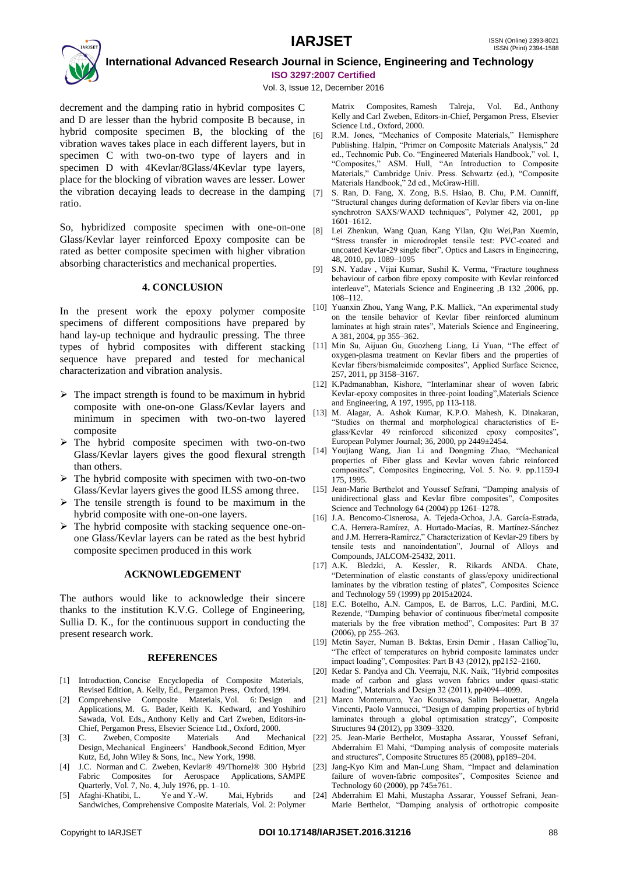## **IARJSET** ISSN (Online) 2393-8021



 **International Advanced Research Journal in Science, Engineering and Technology ISO 3297:2007 Certified**

Vol. 3, Issue 12, December 2016

decrement and the damping ratio in hybrid composites C and D are lesser than the hybrid composite B because, in hybrid composite specimen B, the blocking of the [6] vibration waves takes place in each different layers, but in specimen C with two-on-two type of layers and in specimen D with 4Kevlar/8Glass/4Kevlar type layers, place for the blocking of vibration waves are lesser. Lower the vibration decaying leads to decrease in the damping ratio.

So, hybridized composite specimen with one-on-one Glass/Kevlar layer reinforced Epoxy composite can be rated as better composite specimen with higher vibration absorbing characteristics and mechanical properties.

#### **4. CONCLUSION**

In the present work the epoxy polymer composite specimens of different compositions have prepared by hand lay-up technique and hydraulic pressing. The three types of hybrid composites with different stacking [11] Min Su, Aijuan Gu, Guozheng Liang, Li Yuan, "The effect of sequence have prepared and tested for mechanical characterization and vibration analysis.

- $\triangleright$  The impact strength is found to be maximum in hybrid composite with one-on-one Glass/Kevlar layers and minimum in specimen with two-on-two layered composite
- $\triangleright$  The hybrid composite specimen with two-on-two Glass/Kevlar layers gives the good flexural strength than others.
- $\triangleright$  The hybrid composite with specimen with two-on-two Glass/Kevlar layers gives the good ILSS among three.
- $\triangleright$  The tensile strength is found to be maximum in the hybrid composite with one-on-one layers.
- $\triangleright$  The hybrid composite with stacking sequence one-onone Glass/Kevlar layers can be rated as the best hybrid composite specimen produced in this work

#### **ACKNOWLEDGEMENT**

The authors would like to acknowledge their sincere thanks to the institution K.V.G. College of Engineering, Sullia D. K., for the continuous support in conducting the present research work.

#### **REFERENCES**

- [1] Introduction, Concise Encyclopedia of Composite Materials, Revised Edition, A. Kelly, Ed., Pergamon Press, Oxford, 1994.
- [2] Comprehensive Composite Materials, Vol. 6: Design and Applications, M. G. Bader, Keith K. Kedward, and Yoshihiro Sawada, Vol. Eds., Anthony Kelly and Carl Zweben, Editors-in-Chief, Pergamon Press, Elsevier Science Ltd., Oxford, 2000.
- [3] C. Zweben, Composite Materials And Design, Mechanical Engineers' Handbook,Second Edition, Myer Kutz, Ed, John Wiley & Sons, Inc., New York, 1998.
- [4] J.C. Norman and C. Zweben, Kevlar® 49/Thornel® 300 Hybrid Fabric Composites for Aerospace Applications, SAMPE Quarterly, Vol. 7, No. 4, July 1976, pp. 1–10.
- [5] Afaghi-Khatibi, L. Ye and Y.-W. Mai, Hybrids and Sandwiches, Comprehensive Composite Materials, Vol. 2: Polymer

Matrix Composites, Ramesh Talreja, Vol. Ed., Anthony Kelly and Carl Zweben, Editors-in-Chief, Pergamon Press, Elsevier Science Ltd., Oxford, 2000.

- R.M. Jones, "Mechanics of Composite Materials," Hemisphere Publishing. Halpin, "Primer on Composite Materials Analysis," 2d ed., Technomic Pub. Co. "Engineered Materials Handbook," vol. 1, "Composites," ASM. Hull, "An Introduction to Composite Materials," Cambridge Univ. Press. Schwartz (ed.), "Composite Materials Handbook," 2d ed., McGraw-Hill.
- S. Ran, D. Fang, X. Zong, B.S. Hsiao, B. Chu, P.M. Cunniff, "Structural changes during deformation of Kevlar fibers via on-line synchrotron SAXS/WAXD techniques", Polymer 42, 2001, pp 1601–1612.
- [8] Lei Zhenkun, Wang Quan, Kang Yilan, Qiu Wei,Pan Xuemin, "Stress transfer in microdroplet tensile test: PVC-coated and uncoated Kevlar-29 single fiber", Optics and Lasers in Engineering, 48, 2010, pp. 1089–1095
- [9] S.N. Yadav , Vijai Kumar, Sushil K. Verma, "Fracture toughness behaviour of carbon fibre epoxy composite with Kevlar reinforced interleave", Materials Science and Engineering ,B 132 ,2006, pp. 108–112.
- [10] Yuanxin Zhou, Yang Wang, P.K. Mallick, "An experimental study on the tensile behavior of Kevlar fiber reinforced aluminum laminates at high strain rates", Materials Science and Engineering, A 381, 2004, pp 355–362.
- oxygen-plasma treatment on Kevlar fibers and the properties of Kevlar fibers/bismaleimide composites", Applied Surface Science, 257, 2011, pp 3158–3167.
- [12] K.Padmanabhan, Kishore, "Interlaminar shear of woven fabric Kevlar-epoxy composites in three-point loading",Materials Science and Engineering, A 197, 1995, pp 113-118.
- [13] M. Alagar, A. Ashok Kumar, K.P.O. Mahesh, K. Dinakaran, "Studies on thermal and morphological characteristics of Eglass/Kevlar 49 reinforced siliconized epoxy composites", European Polymer Journal; 36, 2000, pp 2449±2454.
- [14] Youjiang Wang, Jian Li and Dongming Zhao, "Mechanical properties of Fiber glass and Kevlar woven fabric reinforced composites", Composites Engineering, Vol. 5. No. 9. pp.1159-I 175, 1995.
- [15] Jean-Marie Berthelot and Youssef Sefrani, "Damping analysis of unidirectional glass and Kevlar fibre composites", Composites Science and Technology 64 (2004) pp 1261–1278.
- [16] J.A. Bencomo-Cisnerosa, A. Tejeda-Ochoa, J.A. García-Estrada, C.A. Herrera-Ramírez, A. Hurtado-Macías, R. Martínez-Sánchez and J.M. Herrera-Ramírez," Characterization of Kevlar-29 fibers by tensile tests and nanoindentation", Journal of Alloys and Compounds, JALCOM-25432, 2011.
- [17] A.K. Bledzki, A. Kessler, R. Rikards ANDA. Chate, "Determination of elastic constants of glass/epoxy unidirectional laminates by the vibration testing of plates", Composites Science and Technology 59 (1999) pp 2015±2024.
- [18] E.C. Botelho, A.N. Campos, E. de Barros, L.C. Pardini, M.C. Rezende, "Damping behavior of continuous fiber/metal composite materials by the free vibration method", Composites: Part B 37 (2006), pp 255–263.
- [19] Metin Sayer, Numan B. Bektas, Ersin Demir , Hasan Calliog˘lu, "The effect of temperatures on hybrid composite laminates under impact loading", Composites: Part B 43 (2012), pp2152–2160.
- [20] Kedar S. Pandya and Ch. Veerraju, N.K. Naik, "Hybrid composites made of carbon and glass woven fabrics under quasi-static loading", Materials and Design 32 (2011), pp4094–4099.
- [21] Marco Montemurro, Yao Koutsawa, Salim Belouettar, Angela Vincenti, Paolo Vannucci, "Design of damping properties of hybrid laminates through a global optimisation strategy", Composite Structures 94 (2012), pp 3309–3320.
- [22] 25. Jean-Marie Berthelot, Mustapha Assarar, Youssef Sefrani, Abderrahim El Mahi, "Damping analysis of composite materials and structures", Composite Structures 85 (2008), pp189–204.
	- [23] Jang-Kyo Kim and Man-Lung Sham, "Impact and delamination failure of woven-fabric composites", Composites Science and Technology 60 (2000), pp 745±761.
	- [24] Abderrahim El Mahi, Mustapha Assarar, Youssef Sefrani, Jean-Marie Berthelot, "Damping analysis of orthotropic composite